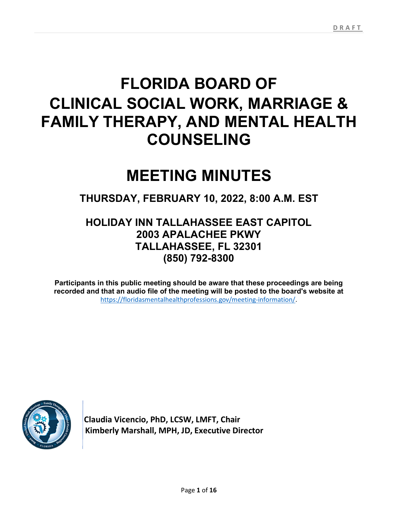# FLORIDA BOARD OF CLINICAL SOCIAL WORK, MARRIAGE & FAMILY THERAPY, AND MENTAL HEALTH COUNSELING

## MEETING MINUTES

THURSDAY, FEBRUARY 10, 2022, 8:00 A.M. EST

## HOLIDAY INN TALLAHASSEE EAST CAPITOL 2003 APALACHEE PKWY TALLAHASSEE, FL 32301 (850) 792-8300

Participants in this public meeting should be aware that these proceedings are being recorded and that an audio file of the meeting will be posted to the board's website at https://floridasmentalhealthprofessions.gov/meeting-information/.



 Claudia Vicencio, PhD, LCSW, LMFT, Chair Kimberly Marshall, MPH, JD, Executive Director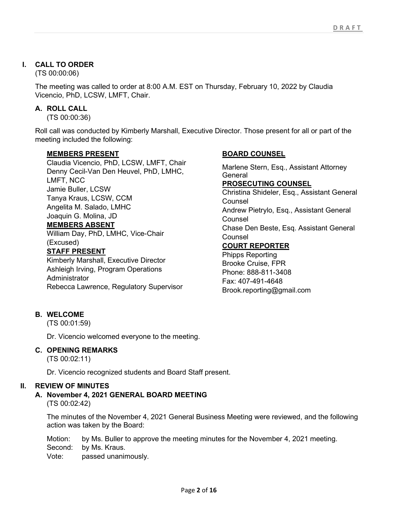## I. CALL TO ORDER

(TS 00:00:06)

The meeting was called to order at 8:00 A.M. EST on Thursday, February 10, 2022 by Claudia Vicencio, PhD, LCSW, LMFT, Chair.

## A. ROLL CALL

(TS 00:00:36)

Roll call was conducted by Kimberly Marshall, Executive Director. Those present for all or part of the meeting included the following:

## MEMBERS PRESENT

Claudia Vicencio, PhD, LCSW, LMFT, Chair Denny Cecil-Van Den Heuvel, PhD, LMHC, LMFT, NCC Jamie Buller, LCSW Tanya Kraus, LCSW, CCM Angelita M. Salado, LMHC Joaquin G. Molina, JD MEMBERS ABSENT

William Day, PhD, LMHC, Vice-Chair (Excused)

## STAFF PRESENT

Kimberly Marshall, Executive Director Ashleigh Irving, Program Operations **Administrator** Rebecca Lawrence, Regulatory Supervisor

## BOARD COUNSEL

Marlene Stern, Esq., Assistant Attorney General PROSECUTING COUNSEL Christina Shideler, Esq., Assistant General Counsel Andrew Pietrylo, Esq., Assistant General **Counsel** Chase Den Beste, Esq. Assistant General Counsel COURT REPORTER Phipps Reporting Brooke Cruise, FPR

Phone: 888-811-3408 Fax: 407-491-4648 Brook.reporting@gmail.com

## B. WELCOME

(TS 00:01:59)

Dr. Vicencio welcomed everyone to the meeting.

#### C. OPENING REMARKS

(TS 00:02:11)

Dr. Vicencio recognized students and Board Staff present.

## II. REVIEW OF MINUTES

A. November 4, 2021 GENERAL BOARD MEETING (TS 00:02:42)

The minutes of the November 4, 2021 General Business Meeting were reviewed, and the following action was taken by the Board:

Motion: by Ms. Buller to approve the meeting minutes for the November 4, 2021 meeting. Second: by Ms. Kraus. Vote: passed unanimously.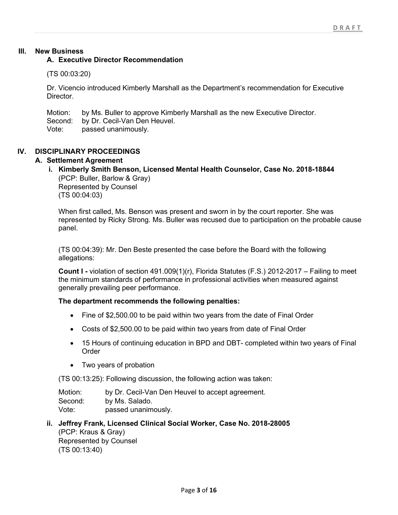## III. New Business

#### A. Executive Director Recommendation

#### (TS 00:03:20)

Dr. Vicencio introduced Kimberly Marshall as the Department's recommendation for Executive Director.

Motion: by Ms. Buller to approve Kimberly Marshall as the new Executive Director.<br>Second: by Dr. Cecil-Van Den Heuvel. by Dr. Cecil-Van Den Heuvel. Vote: passed unanimously.

## IV. DISCIPLINARY PROCEEDINGS

#### A. Settlement Agreement

## i. Kimberly Smith Benson, Licensed Mental Health Counselor, Case No. 2018-18844 (PCP: Buller, Barlow & Gray)

Represented by Counsel (TS 00:04:03)

When first called, Ms. Benson was present and sworn in by the court reporter. She was represented by Ricky Strong. Ms. Buller was recused due to participation on the probable cause panel.

(TS 00:04:39): Mr. Den Beste presented the case before the Board with the following allegations:

Count I - violation of section 491.009(1)(r), Florida Statutes (F.S.) 2012-2017 – Failing to meet the minimum standards of performance in professional activities when measured against generally prevailing peer performance.

#### The department recommends the following penalties:

- Fine of \$2,500.00 to be paid within two years from the date of Final Order
- Costs of \$2,500.00 to be paid within two years from date of Final Order
- 15 Hours of continuing education in BPD and DBT- completed within two years of Final Order
- Two years of probation

(TS 00:13:25): Following discussion, the following action was taken:

Motion: by Dr. Cecil-Van Den Heuvel to accept agreement. Second: by Ms. Salado. Vote: passed unanimously.

ii. Jeffrey Frank, Licensed Clinical Social Worker, Case No. 2018-28005 (PCP: Kraus & Gray) Represented by Counsel (TS 00:13:40)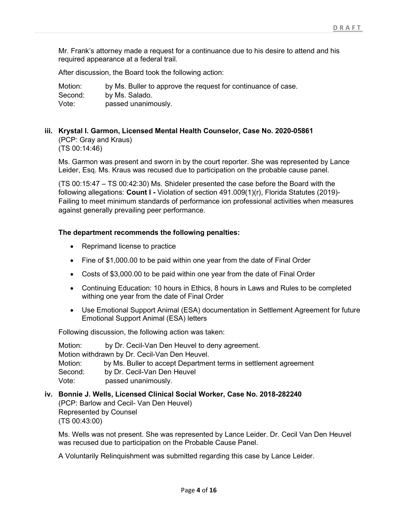Mr. Frank's attorney made a request for a continuance due to his desire to attend and his required appearance at a federal trail.

After discussion, the Board took the following action:

| Motion: | by Ms. Buller to approve the request for continuance of case. |
|---------|---------------------------------------------------------------|
| Second: | by Ms. Salado.                                                |
| Vote:   | passed unanimously.                                           |

## iii. Krystal I. Garmon, Licensed Mental Health Counselor, Case No. 2020-05861 (PCP: Gray and Kraus) (TS 00:14:46)

Ms. Garmon was present and sworn in by the court reporter. She was represented by Lance Leider, Esq. Ms. Kraus was recused due to participation on the probable cause panel.

(TS 00:15:47 – TS 00:42:30) Ms. Shideler presented the case before the Board with the following allegations: Count I - Violation of section 491.009(1)(r), Florida Statutes (2019)-Failing to meet minimum standards of performance ion professional activities when measures against generally prevailing peer performance.

#### The department recommends the following penalties:

- Reprimand license to practice
- Fine of \$1,000.00 to be paid within one year from the date of Final Order
- Costs of \$3,000.00 to be paid within one year from the date of Final Order
- Continuing Education: 10 hours in Ethics, 8 hours in Laws and Rules to be completed withing one year from the date of Final Order
- Use Emotional Support Animal (ESA) documentation in Settlement Agreement for future Emotional Support Animal (ESA) letters

Following discussion, the following action was taken:

Motion: by Dr. Cecil-Van Den Heuvel to deny agreement. Motion withdrawn by Dr. Cecil-Van Den Heuvel. Motion: by Ms. Buller to accept Department terms in settlement agreement Second: by Dr. Cecil-Van Den Heuvel Vote: passed unanimously.

#### iv. Bonnie J. Wells, Licensed Clinical Social Worker, Case No. 2018-282240 (PCP: Barlow and Cecil- Van Den Heuvel) Represented by Counsel

(TS 00:43:00)

Ms. Wells was not present. She was represented by Lance Leider. Dr. Cecil Van Den Heuvel was recused due to participation on the Probable Cause Panel.

A Voluntarily Relinquishment was submitted regarding this case by Lance Leider.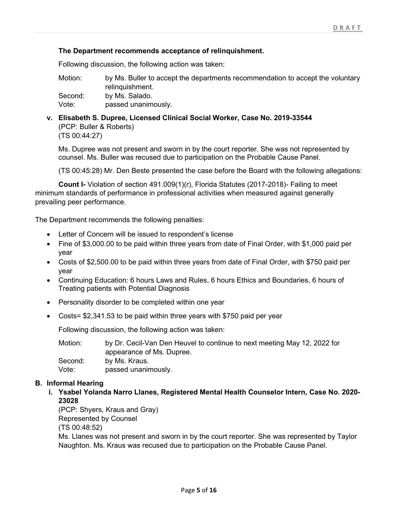## The Department recommends acceptance of relinquishment.

Following discussion, the following action was taken:

Motion: by Ms. Buller to accept the departments recommendation to accept the voluntary relinquishment. Second: by Ms. Salado.

Vote: passed unanimously.

v. Elisabeth S. Dupree, Licensed Clinical Social Worker, Case No. 2019-33544 (PCP: Buller & Roberts) (TS 00:44:27)

Ms. Dupree was not present and sworn in by the court reporter. She was not represented by counsel. Ms. Buller was recused due to participation on the Probable Cause Panel.

(TS 00:45:28) Mr. Den Beste presented the case before the Board with the following allegations:

Count I- Violation of section 491.009(1)(r), Florida Statutes (2017-2018)- Failing to meet minimum standards of performance in professional activities when measured against generally prevailing peer performance.

The Department recommends the following penalties:

- Letter of Concern will be issued to respondent's license
- Fine of \$3,000.00 to be paid within three years from date of Final Order, with \$1,000 paid per year
- Costs of \$2,500.00 to be paid within three years from date of Final Order, with \$750 paid per year
- Continuing Education: 6 hours Laws and Rules, 6 hours Ethics and Boundaries, 6 hours of Treating patients with Potential Diagnosis
- Personality disorder to be completed within one year
- Costs= \$2,341.53 to be paid within three years with \$750 paid per year

Following discussion, the following action was taken:

| Motion: | by Dr. Cecil-Van Den Heuvel to continue to next meeting May 12, 2022 for |
|---------|--------------------------------------------------------------------------|
|         | appearance of Ms. Dupree.                                                |
| Second: | by Ms. Kraus.                                                            |
| Vote:   | passed unanimously.                                                      |

## B. Informal Hearing

i. Ysabel Yolanda Narro Llanes, Registered Mental Health Counselor Intern, Case No. 2020- 23028

(PCP: Shyers, Kraus and Gray) Represented by Counsel

(TS 00:48:52)

Ms. Llanes was not present and sworn in by the court reporter. She was represented by Taylor Naughton. Ms. Kraus was recused due to participation on the Probable Cause Panel.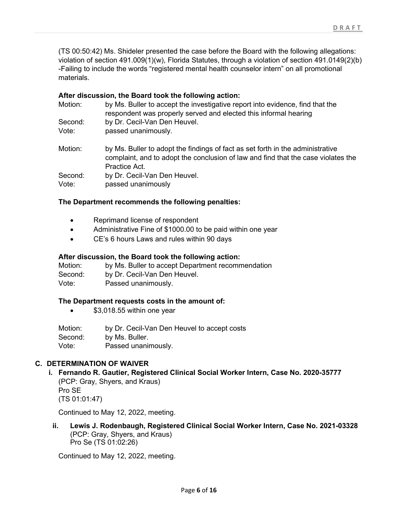(TS 00:50:42) Ms. Shideler presented the case before the Board with the following allegations: violation of section 491.009(1)(w), Florida Statutes, through a violation of section 491.0149(2)(b) -Failing to include the words "registered mental health counselor intern" on all promotional materials.

#### After discussion, the Board took the following action:

| Motion: | by Ms. Buller to accept the investigative report into evidence, find that the<br>respondent was properly served and elected this informal hearing                                    |
|---------|--------------------------------------------------------------------------------------------------------------------------------------------------------------------------------------|
| Second: | by Dr. Cecil-Van Den Heuvel.                                                                                                                                                         |
| Vote:   | passed unanimously.                                                                                                                                                                  |
| Motion: | by Ms. Buller to adopt the findings of fact as set forth in the administrative<br>complaint, and to adopt the conclusion of law and find that the case violates the<br>Practice Act. |
| Second: | by Dr. Cecil-Van Den Heuvel.                                                                                                                                                         |
| Vote:   | passed unanimously                                                                                                                                                                   |

#### The Department recommends the following penalties:

- Reprimand license of respondent
- Administrative Fine of \$1000.00 to be paid within one year
- CE's 6 hours Laws and rules within 90 days

#### After discussion, the Board took the following action:

| Motion: | by Ms. Buller to accept Department recommendation |
|---------|---------------------------------------------------|
| Second: | by Dr. Cecil-Van Den Heuvel.                      |
| Vote:   | Passed unanimously.                               |

#### The Department requests costs in the amount of:

**\$3,018.55 within one year** 

Motion: by Dr. Cecil-Van Den Heuvel to accept costs Second: by Ms. Buller. Vote: Passed unanimously.

## C. DETERMINATION OF WAIVER

i. Fernando R. Gautier, Registered Clinical Social Worker Intern, Case No. 2020-35777 (PCP: Gray, Shyers, and Kraus) Pro SE (TS 01:01:47)

Continued to May 12, 2022, meeting.

ii. Lewis J. Rodenbaugh, Registered Clinical Social Worker Intern, Case No. 2021-03328 (PCP: Gray, Shyers, and Kraus) Pro Se (TS 01:02:26)

Continued to May 12, 2022, meeting.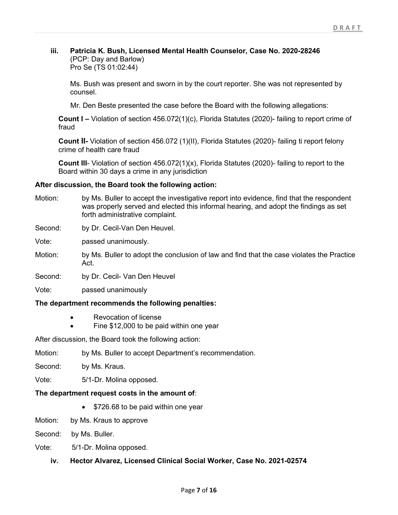### iii. Patricia K. Bush, Licensed Mental Health Counselor, Case No. 2020-28246 (PCP: Day and Barlow)

Pro Se (TS 01:02:44)

Ms. Bush was present and sworn in by the court reporter. She was not represented by counsel.

Mr. Den Beste presented the case before the Board with the following allegations:

Count I – Violation of section 456.072(1)(c), Florida Statutes (2020)- failing to report crime of fraud

Count II- Violation of section 456.072 (1)(II), Florida Statutes (2020)- failing ti report felony crime of health care fraud

Count III- Violation of section 456.072(1)(x), Florida Statutes (2020)- failing to report to the Board within 30 days a crime in any jurisdiction

#### After discussion, the Board took the following action:

Motion: by Ms. Buller to accept the investigative report into evidence, find that the respondent was properly served and elected this informal hearing, and adopt the findings as set forth administrative complaint.

Second: by Dr. Cecil-Van Den Heuvel.

Vote: passed unanimously.

- Motion: by Ms. Buller to adopt the conclusion of law and find that the case violates the Practice Act.
- Second: by Dr. Cecil- Van Den Heuvel
- Vote: passed unanimously

## The department recommends the following penalties:

- Revocation of license
- Fine \$12,000 to be paid within one year

After discussion, the Board took the following action:

- Motion: by Ms. Buller to accept Department's recommendation.
- Second: by Ms. Kraus.

Vote: 5/1-Dr. Molina opposed.

#### The department request costs in the amount of:

- \$726.68 to be paid within one year
- Motion: by Ms. Kraus to approve

Second: by Ms. Buller.

Vote: 5/1-Dr. Molina opposed.

iv. Hector Alvarez, Licensed Clinical Social Worker, Case No. 2021-02574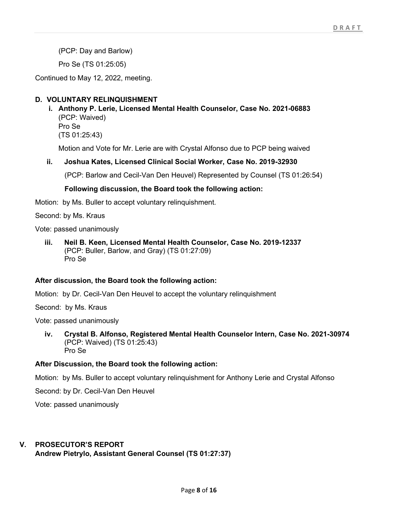(PCP: Day and Barlow)

Pro Se (TS 01:25:05)

Continued to May 12, 2022, meeting.

## D. VOLUNTARY RELINQUISHMENT

i. Anthony P. Lerie, Licensed Mental Health Counselor, Case No. 2021-06883 (PCP: Waived) Pro Se (TS 01:25:43)

Motion and Vote for Mr. Lerie are with Crystal Alfonso due to PCP being waived

#### ii. Joshua Kates, Licensed Clinical Social Worker, Case No. 2019-32930

(PCP: Barlow and Cecil-Van Den Heuvel) Represented by Counsel (TS 01:26:54)

#### Following discussion, the Board took the following action:

Motion: by Ms. Buller to accept voluntary relinquishment.

Second: by Ms. Kraus

Vote: passed unanimously

iii. Neil B. Keen, Licensed Mental Health Counselor, Case No. 2019-12337 (PCP: Buller, Barlow, and Gray) (TS 01:27:09) Pro Se

#### After discussion, the Board took the following action:

Motion: by Dr. Cecil-Van Den Heuvel to accept the voluntary relinquishment

Second: by Ms. Kraus

Vote: passed unanimously

iv. Crystal B. Alfonso, Registered Mental Health Counselor Intern, Case No. 2021-30974 (PCP: Waived) (TS 01:25:43) Pro Se

#### After Discussion, the Board took the following action:

Motion: by Ms. Buller to accept voluntary relinquishment for Anthony Lerie and Crystal Alfonso

Second: by Dr. Cecil-Van Den Heuvel

Vote: passed unanimously

## V. PROSECUTOR'S REPORT

Andrew Pietrylo, Assistant General Counsel (TS 01:27:37)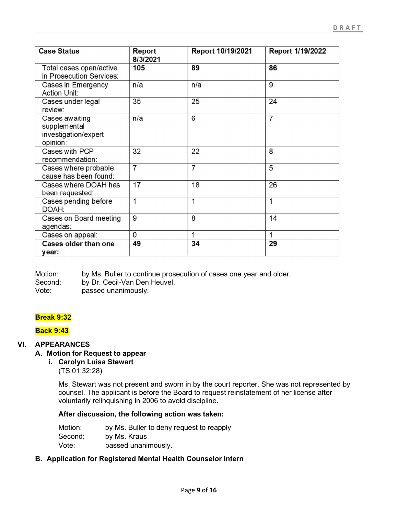| <b>Case Status</b>                                                 | Report<br>8/3/2021 | Report 10/19/2021 | Report 1/19/2022 |
|--------------------------------------------------------------------|--------------------|-------------------|------------------|
| Total cases open/active<br>in Prosecution Services:                | 105                | 89                | 86               |
| Cases in Emergency<br><b>Action Unit:</b>                          | n/a                | n/a               | 9                |
| Cases under legal<br>review:                                       | 35                 | 25                | 24               |
| Cases awaiting<br>supplemental<br>investigation/expert<br>opinion: | n/a                | 6                 | $\overline{7}$   |
| Cases with PCP<br>recommendation:                                  | 32                 | 22                | 8                |
| Cases where probable<br>cause has been found:                      | $\overline{7}$     | 7                 | 5                |
| Cases where DOAH has<br>been requested:                            | 17                 | 18                | 26               |
| Cases pending before<br>DOAH:                                      | 1                  | 1                 | 1                |
| Cases on Board meeting<br>agendas:                                 | 9                  | 8                 | 14               |
| Cases on appeal:                                                   | 0                  | 1                 | 1                |
| Cases older than one<br>year:                                      | 49                 | 34                | 29               |

Motion: by Ms. Buller to continue prosecution of cases one year and older. Second: by Dr. Cecil-Van Den Heuvel. Vote: passed unanimously.

## Break 9:32

#### Back 9:43

## VI. APPEARANCES

## A. Motion for Request to appear

## i. Carolyn Luisa Stewart

(TS 01:32:28)

Ms. Stewart was not present and sworn in by the court reporter. She was not represented by counsel. The applicant is before the Board to request reinstatement of her license after voluntarily relinquishing in 2006 to avoid discipline.

#### After discussion, the following action was taken:

| Motion: | by Ms. Buller to deny request to reapply |
|---------|------------------------------------------|
| Second: | by Ms. Kraus                             |
| Vote:   | passed unanimously.                      |

#### B. Application for Registered Mental Health Counselor Intern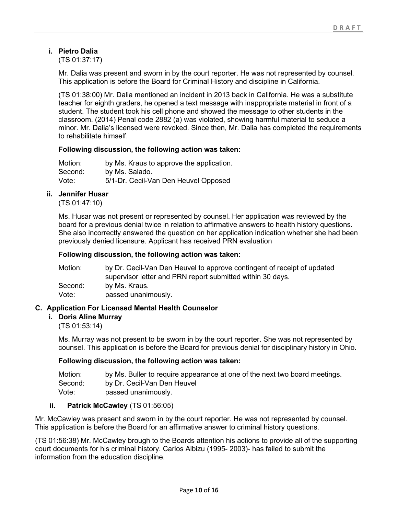## i. Pietro Dalia

(TS 01:37:17)

Mr. Dalia was present and sworn in by the court reporter. He was not represented by counsel. This application is before the Board for Criminal History and discipline in California.

(TS 01:38:00) Mr. Dalia mentioned an incident in 2013 back in California. He was a substitute teacher for eighth graders, he opened a text message with inappropriate material in front of a student. The student took his cell phone and showed the message to other students in the classroom. (2014) Penal code 2882 (a) was violated, showing harmful material to seduce a minor. Mr. Dalia's licensed were revoked. Since then, Mr. Dalia has completed the requirements to rehabilitate himself.

#### Following discussion, the following action was taken:

| Motion: | by Ms. Kraus to approve the application. |
|---------|------------------------------------------|
| Second: | by Ms. Salado.                           |
| Vote:   | 5/1-Dr. Cecil-Van Den Heuvel Opposed     |

#### ii. Jennifer Husar

(TS 01:47:10)

Ms. Husar was not present or represented by counsel. Her application was reviewed by the board for a previous denial twice in relation to affirmative answers to health history questions. She also incorrectly answered the question on her application indication whether she had been previously denied licensure. Applicant has received PRN evaluation

#### Following discussion, the following action was taken:

| Motion: | by Dr. Cecil-Van Den Heuvel to approve contingent of receipt of updated |
|---------|-------------------------------------------------------------------------|
|         | supervisor letter and PRN report submitted within 30 days.              |
| Second: | by Ms. Kraus.                                                           |
| Vote:   | passed unanimously.                                                     |

## C. Application For Licensed Mental Health Counselor

#### i. Doris Aline Murray

(TS 01:53:14)

Ms. Murray was not present to be sworn in by the court reporter. She was not represented by counsel. This application is before the Board for previous denial for disciplinary history in Ohio.

#### Following discussion, the following action was taken:

| Motion: | by Ms. Buller to require appearance at one of the next two board meetings. |
|---------|----------------------------------------------------------------------------|
| Second: | by Dr. Cecil-Van Den Heuvel                                                |
| Vote:   | passed unanimously.                                                        |

#### ii. Patrick McCawley (TS 01:56:05)

Mr. McCawley was present and sworn in by the court reporter. He was not represented by counsel. This application is before the Board for an affirmative answer to criminal history questions.

(TS 01:56:38) Mr. McCawley brough to the Boards attention his actions to provide all of the supporting court documents for his criminal history. Carlos Albizu (1995- 2003)- has failed to submit the information from the education discipline.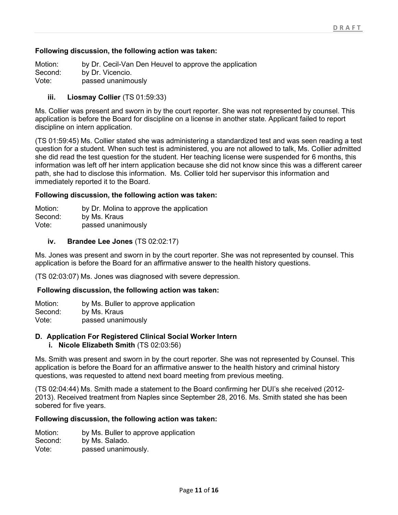#### Following discussion, the following action was taken:

Motion: by Dr. Cecil-Van Den Heuvel to approve the application Second: by Dr. Vicencio. Vote: passed unanimously

#### iii. Liosmay Collier (TS 01:59:33)

Ms. Collier was present and sworn in by the court reporter. She was not represented by counsel. This application is before the Board for discipline on a license in another state. Applicant failed to report discipline on intern application.

(TS 01:59:45) Ms. Collier stated she was administering a standardized test and was seen reading a test question for a student. When such test is administered, you are not allowed to talk, Ms. Collier admitted she did read the test question for the student. Her teaching license were suspended for 6 months, this information was left off her intern application because she did not know since this was a different career path, she had to disclose this information. Ms. Collier told her supervisor this information and immediately reported it to the Board.

#### Following discussion, the following action was taken:

| Motion: | by Dr. Molina to approve the application |
|---------|------------------------------------------|
| Second: | by Ms. Kraus                             |
| Vote:   | passed unanimously                       |

#### iv. Brandee Lee Jones (TS 02:02:17)

Ms. Jones was present and sworn in by the court reporter. She was not represented by counsel. This application is before the Board for an affirmative answer to the health history questions.

(TS 02:03:07) Ms. Jones was diagnosed with severe depression.

#### Following discussion, the following action was taken:

Motion: by Ms. Buller to approve application Second: by Ms. Kraus Vote: passed unanimously

#### D. Application For Registered Clinical Social Worker Intern

i. Nicole Elizabeth Smith (TS 02:03:56)

Ms. Smith was present and sworn in by the court reporter. She was not represented by Counsel. This application is before the Board for an affirmative answer to the health history and criminal history questions, was requested to attend next board meeting from previous meeting.

(TS 02:04:44) Ms. Smith made a statement to the Board confirming her DUI's she received (2012- 2013). Received treatment from Naples since September 28, 2016. Ms. Smith stated she has been sobered for five years.

#### Following discussion, the following action was taken:

- Motion: by Ms. Buller to approve application
- Second: by Ms. Salado.
- Vote: passed unanimously.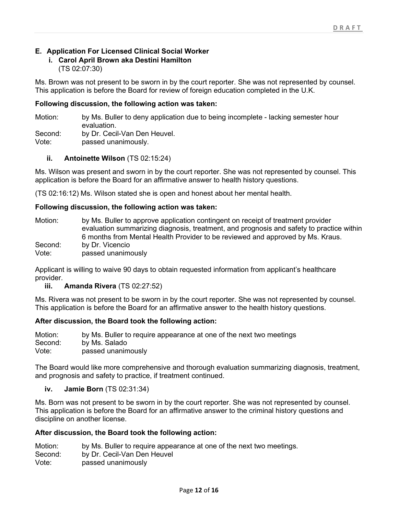## E. Application For Licensed Clinical Social Worker

## i. Carol April Brown aka Destini Hamilton

(TS 02:07:30)

Ms. Brown was not present to be sworn in by the court reporter. She was not represented by counsel. This application is before the Board for review of foreign education completed in the U.K.

## Following discussion, the following action was taken:

Motion: by Ms. Buller to deny application due to being incomplete - lacking semester hour evaluation.

Second: by Dr. Cecil-Van Den Heuvel.

Vote: passed unanimously.

#### ii. Antoinette Wilson (TS 02:15:24)

Ms. Wilson was present and sworn in by the court reporter. She was not represented by counsel. This application is before the Board for an affirmative answer to health history questions.

(TS 02:16:12) Ms. Wilson stated she is open and honest about her mental health.

#### Following discussion, the following action was taken:

| Motion: | by Ms. Buller to approve application contingent on receipt of treatment provider         |
|---------|------------------------------------------------------------------------------------------|
|         | evaluation summarizing diagnosis, treatment, and prognosis and safety to practice within |
|         | 6 months from Mental Health Provider to be reviewed and approved by Ms. Kraus.           |
| Second: | by Dr. Vicencio                                                                          |
| Vote:   | passed unanimously                                                                       |

Applicant is willing to waive 90 days to obtain requested information from applicant's healthcare provider.

iii. Amanda Rivera (TS 02:27:52)

Ms. Rivera was not present to be sworn in by the court reporter. She was not represented by counsel. This application is before the Board for an affirmative answer to the health history questions.

## After discussion, the Board took the following action:

Motion: by Ms. Buller to require appearance at one of the next two meetings Second: by Ms. Salado Vote: passed unanimously

The Board would like more comprehensive and thorough evaluation summarizing diagnosis, treatment, and prognosis and safety to practice, if treatment continued.

iv. Jamie Born (TS 02:31:34)

Ms. Born was not present to be sworn in by the court reporter. She was not represented by counsel. This application is before the Board for an affirmative answer to the criminal history questions and discipline on another license.

#### After discussion, the Board took the following action:

| Motion: | by Ms. Buller to require appearance at one of the next two meetings. |
|---------|----------------------------------------------------------------------|
| Second: | by Dr. Cecil-Van Den Heuvel                                          |
| Vote:   | passed unanimously                                                   |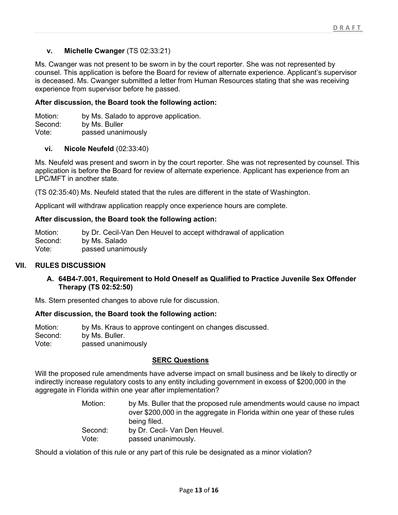## v. Michelle Cwanger (TS 02:33:21)

Ms. Cwanger was not present to be sworn in by the court reporter. She was not represented by counsel. This application is before the Board for review of alternate experience. Applicant's supervisor is deceased. Ms. Cwanger submitted a letter from Human Resources stating that she was receiving experience from supervisor before he passed.

#### After discussion, the Board took the following action:

Motion: by Ms. Salado to approve application. Second: by Ms. Buller Vote: passed unanimously

#### vi. Nicole Neufeld (02:33:40)

Ms. Neufeld was present and sworn in by the court reporter. She was not represented by counsel. This application is before the Board for review of alternate experience. Applicant has experience from an LPC/MFT in another state.

(TS 02:35:40) Ms. Neufeld stated that the rules are different in the state of Washington.

Applicant will withdraw application reapply once experience hours are complete.

#### After discussion, the Board took the following action:

Motion: by Dr. Cecil-Van Den Heuvel to accept withdrawal of application Second: by Ms. Salado Vote: passed unanimously

#### VII. RULES DISCUSSION

#### A. 64B4-7.001, Requirement to Hold Oneself as Qualified to Practice Juvenile Sex Offender Therapy (TS 02:52:50)

Ms. Stern presented changes to above rule for discussion.

#### After discussion, the Board took the following action:

Motion: by Ms. Kraus to approve contingent on changes discussed. Second: by Ms. Buller. Vote: passed unanimously

#### SERC Questions

Will the proposed rule amendments have adverse impact on small business and be likely to directly or indirectly increase regulatory costs to any entity including government in excess of \$200,000 in the aggregate in Florida within one year after implementation?

> Motion: by Ms. Buller that the proposed rule amendments would cause no impact over \$200,000 in the aggregate in Florida within one year of these rules being filed. Second: by Dr. Cecil- Van Den Heuvel. Vote: passed unanimously.

Should a violation of this rule or any part of this rule be designated as a minor violation?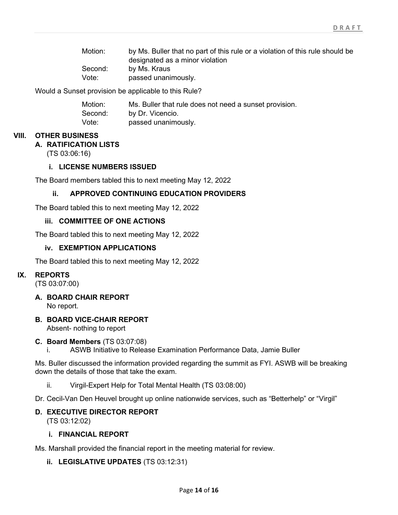| Motion: | by Ms. Buller that no part of this rule or a violation of this rule should be |
|---------|-------------------------------------------------------------------------------|
|         | designated as a minor violation                                               |
| Second: | by Ms. Kraus                                                                  |
| Vote:   | passed unanimously.                                                           |

Would a Sunset provision be applicable to this Rule?

| Motion: | Ms. Buller that rule does not need a sunset provision. |
|---------|--------------------------------------------------------|
| Second: | by Dr. Vicencio.                                       |
| Vote:   | passed unanimously.                                    |

#### VIII. OTHER BUSINESS

#### A. RATIFICATION LISTS

(TS 03:06:16)

## i. LICENSE NUMBERS ISSUED

The Board members tabled this to next meeting May 12, 2022

#### ii. APPROVED CONTINUING EDUCATION PROVIDERS

The Board tabled this to next meeting May 12, 2022

#### iii. COMMITTEE OF ONE ACTIONS

The Board tabled this to next meeting May 12, 2022

#### iv. EXEMPTION APPLICATIONS

The Board tabled this to next meeting May 12, 2022

#### IX. REPORTS

(TS 03:07:00)

A. BOARD CHAIR REPORT

No report.

B. BOARD VICE-CHAIR REPORT

Absent- nothing to report

#### C. Board Members (TS 03:07:08)

i. ASWB Initiative to Release Examination Performance Data, Jamie Buller

Ms. Buller discussed the information provided regarding the summit as FYI. ASWB will be breaking down the details of those that take the exam.

- ii. Virgil-Expert Help for Total Mental Health (TS 03:08:00)
- Dr. Cecil-Van Den Heuvel brought up online nationwide services, such as "Betterhelp" or "Virgil"

#### D. EXECUTIVE DIRECTOR REPORT

(TS 03:12:02)

#### i. FINANCIAL REPORT

Ms. Marshall provided the financial report in the meeting material for review.

#### ii. LEGISLATIVE UPDATES (TS 03:12:31)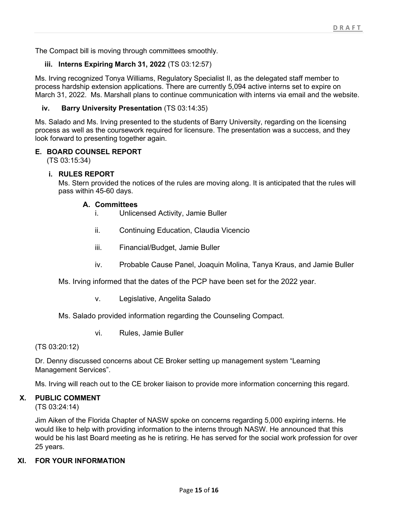The Compact bill is moving through committees smoothly.

## iii. Interns Expiring March 31, 2022 (TS 03:12:57)

Ms. Irving recognized Tonya Williams, Regulatory Specialist II, as the delegated staff member to process hardship extension applications. There are currently 5,094 active interns set to expire on March 31, 2022. Ms. Marshall plans to continue communication with interns via email and the website.

#### iv. Barry University Presentation (TS 03:14:35)

Ms. Salado and Ms. Irving presented to the students of Barry University, regarding on the licensing process as well as the coursework required for licensure. The presentation was a success, and they look forward to presenting together again.

#### E. BOARD COUNSEL REPORT

(TS 03:15:34)

#### i. RULES REPORT

Ms. Stern provided the notices of the rules are moving along. It is anticipated that the rules will pass within 45-60 days.

#### A. Committees

- i. Unlicensed Activity, Jamie Buller
- ii. Continuing Education, Claudia Vicencio
- iii. Financial/Budget, Jamie Buller
- iv. Probable Cause Panel, Joaquin Molina, Tanya Kraus, and Jamie Buller

Ms. Irving informed that the dates of the PCP have been set for the 2022 year.

v. Legislative, Angelita Salado

Ms. Salado provided information regarding the Counseling Compact.

vi. Rules, Jamie Buller

(TS 03:20:12)

Dr. Denny discussed concerns about CE Broker setting up management system "Learning Management Services".

Ms. Irving will reach out to the CE broker liaison to provide more information concerning this regard.

## X. PUBLIC COMMENT

(TS 03:24:14)

Jim Aiken of the Florida Chapter of NASW spoke on concerns regarding 5,000 expiring interns. He would like to help with providing information to the interns through NASW. He announced that this would be his last Board meeting as he is retiring. He has served for the social work profession for over 25 years.

## XI. FOR YOUR INFORMATION